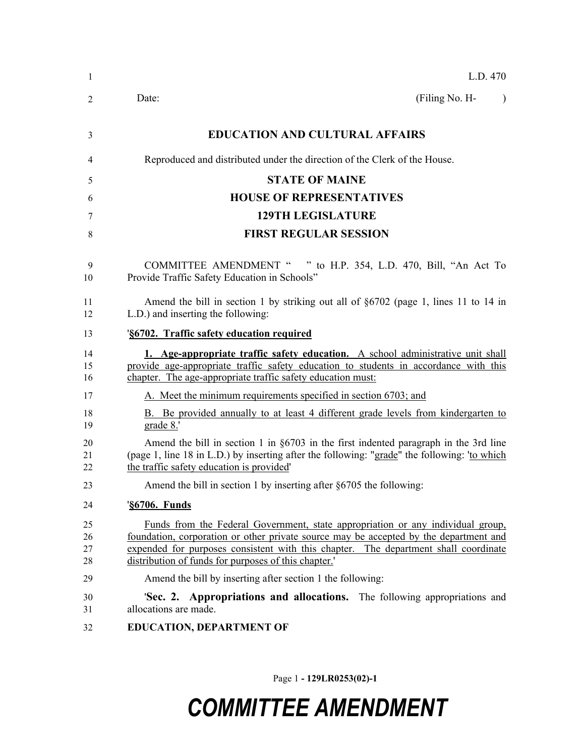Page 1 **- 129LR0253(02)-1**

# *COMMITTEE AMENDMENT*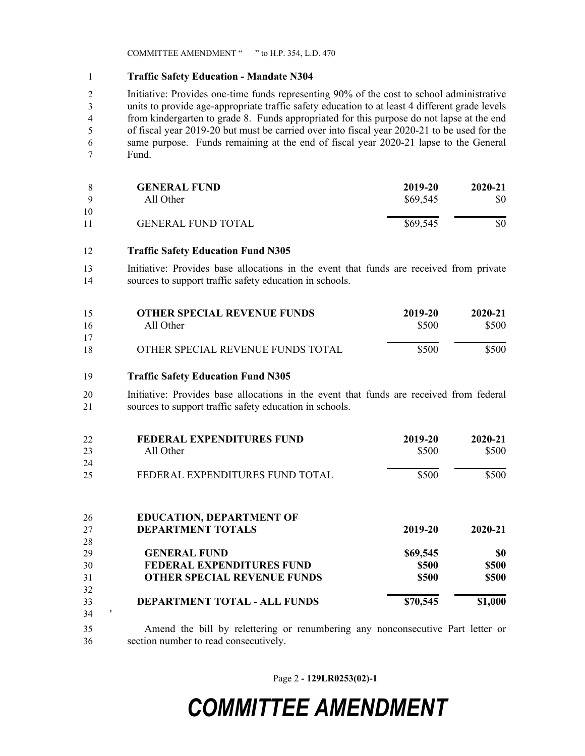COMMITTEE AMENDMENT " " to H.P. 354, L.D. 470

### **Traffic Safety Education - Mandate N304**

 Initiative: Provides one-time funds representing 90% of the cost to school administrative units to provide age-appropriate traffic safety education to at least 4 different grade levels from kindergarten to grade 8. Funds appropriated for this purpose do not lapse at the end of fiscal year 2019-20 but must be carried over into fiscal year 2020-21 to be used for the same purpose. Funds remaining at the end of fiscal year 2020-21 lapse to the General Fund.

| Q        | <b>GENERAL FUND</b>       | 2019-20  | 2020-21 |
|----------|---------------------------|----------|---------|
|          | All Other                 | \$69,545 | \$0     |
| 10<br>11 | <b>GENERAL FUND TOTAL</b> | \$69,545 | \$0     |

- **Traffic Safety Education Fund N305**
- Initiative: Provides base allocations in the event that funds are received from private sources to support traffic safety education in schools.

| 15<br>16 | <b>OTHER SPECIAL REVENUE FUNDS</b><br>All Other | 2019-20<br>\$500 | 2020-21<br>\$500 |
|----------|-------------------------------------------------|------------------|------------------|
| 17       |                                                 |                  |                  |
| 18       | OTHER SPECIAL REVENUE FUNDS TOTAL               | \$500            | \$500            |

### **Traffic Safety Education Fund N305**

 Initiative: Provides base allocations in the event that funds are received from federal sources to support traffic safety education in schools.

| 22 | FEDERAL EXPENDITURES FUND       | 2019-20 | 2020-21 |
|----|---------------------------------|---------|---------|
| 23 | All Other                       | \$500   | \$500   |
| 24 |                                 |         |         |
| 25 | FEDERAL EXPENDITURES FUND TOTAL | \$500   | \$500   |
|    |                                 |         |         |

| 26 | <b>EDUCATION, DEPARTMENT OF</b>    |              |              |
|----|------------------------------------|--------------|--------------|
| 27 | <b>DEPARTMENT TOTALS</b>           | 2019-20      | 2020-21      |
| 28 |                                    |              |              |
| 29 | <b>GENERAL FUND</b>                | \$69,545     | \$0          |
| 30 | <b>FEDERAL EXPENDITURES FUND</b>   | <b>\$500</b> | <b>\$500</b> |
| 31 | <b>OTHER SPECIAL REVENUE FUNDS</b> | <b>\$500</b> | <b>\$500</b> |
| 32 |                                    |              |              |
| 33 | DEPARTMENT TOTAL - ALL FUNDS       | \$70,545     | \$1,000      |
| 34 |                                    |              |              |

 Amend the bill by relettering or renumbering any nonconsecutive Part letter or section number to read consecutively.

Page 2 **- 129LR0253(02)-1**

## *COMMITTEE AMENDMENT*